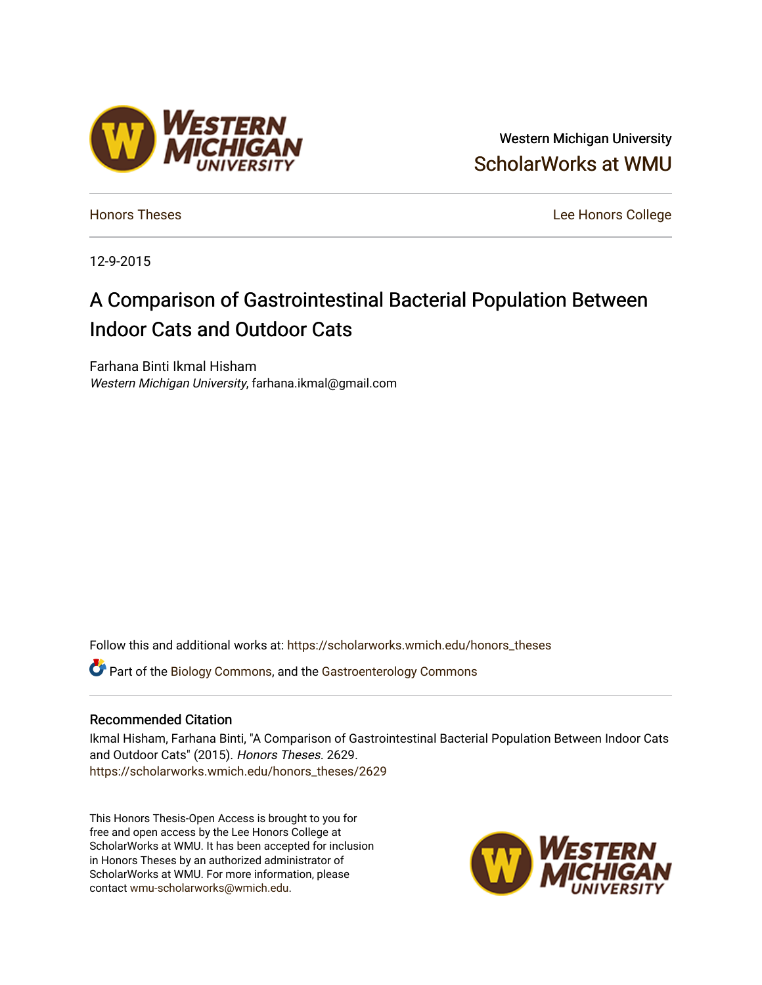### Western Michigan University [ScholarWorks at WMU](https://scholarworks.wmich.edu/)

[Honors Theses](https://scholarworks.wmich.edu/honors_theses) [Lee Honors College](https://scholarworks.wmich.edu/honors) 

12-9-2015

## A Comparison of Gastrointestinal Bacterial Population Between Indoor Cats and Outdoor Cats

Farhana Binti Ikmal Hisham Western Michigan University, farhana.ikmal@gmail.com

Follow this and additional works at: [https://scholarworks.wmich.edu/honors\\_theses](https://scholarworks.wmich.edu/honors_theses?utm_source=scholarworks.wmich.edu%2Fhonors_theses%2F2629&utm_medium=PDF&utm_campaign=PDFCoverPages)

**C** Part of the [Biology Commons,](http://network.bepress.com/hgg/discipline/41?utm_source=scholarworks.wmich.edu%2Fhonors_theses%2F2629&utm_medium=PDF&utm_campaign=PDFCoverPages) and the Gastroenterology Commons

#### Recommended Citation

Ikmal Hisham, Farhana Binti, "A Comparison of Gastrointestinal Bacterial Population Between Indoor Cats and Outdoor Cats" (2015). Honors Theses. 2629. [https://scholarworks.wmich.edu/honors\\_theses/2629](https://scholarworks.wmich.edu/honors_theses/2629?utm_source=scholarworks.wmich.edu%2Fhonors_theses%2F2629&utm_medium=PDF&utm_campaign=PDFCoverPages) 

This Honors Thesis-Open Access is brought to you for free and open access by the Lee Honors College at ScholarWorks at WMU. It has been accepted for inclusion in Honors Theses by an authorized administrator of ScholarWorks at WMU. For more information, please contact [wmu-scholarworks@wmich.edu](mailto:wmu-scholarworks@wmich.edu).



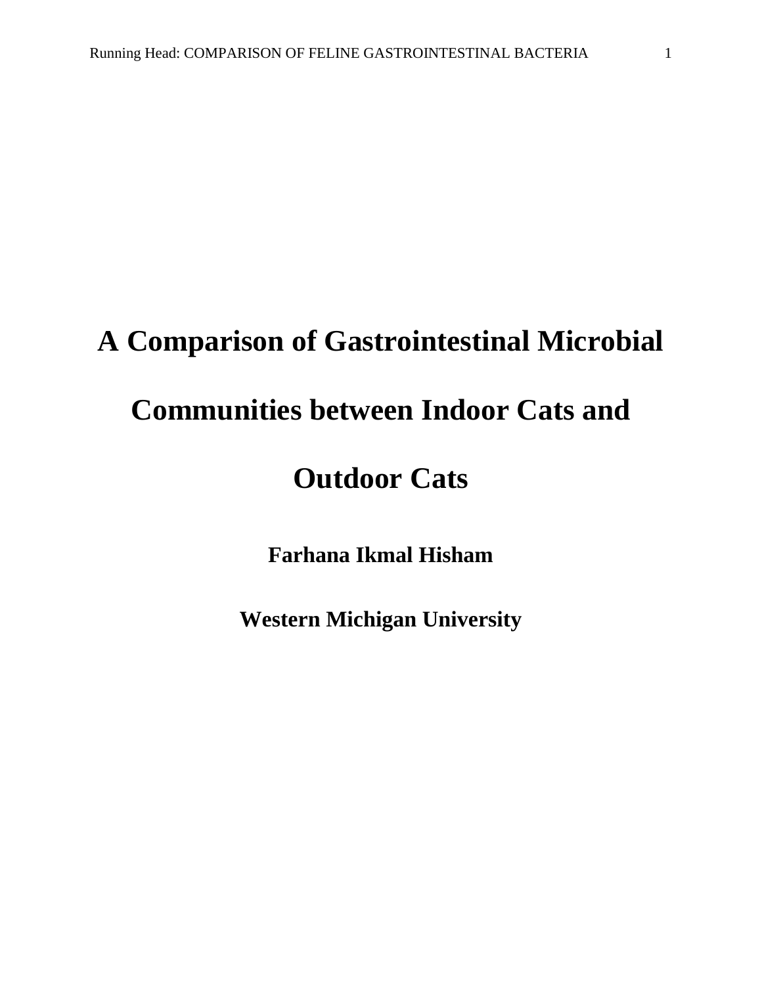# **A Comparison of Gastrointestinal Microbial**

# **Communities between Indoor Cats and**

# **Outdoor Cats**

**Farhana Ikmal Hisham**

**Western Michigan University**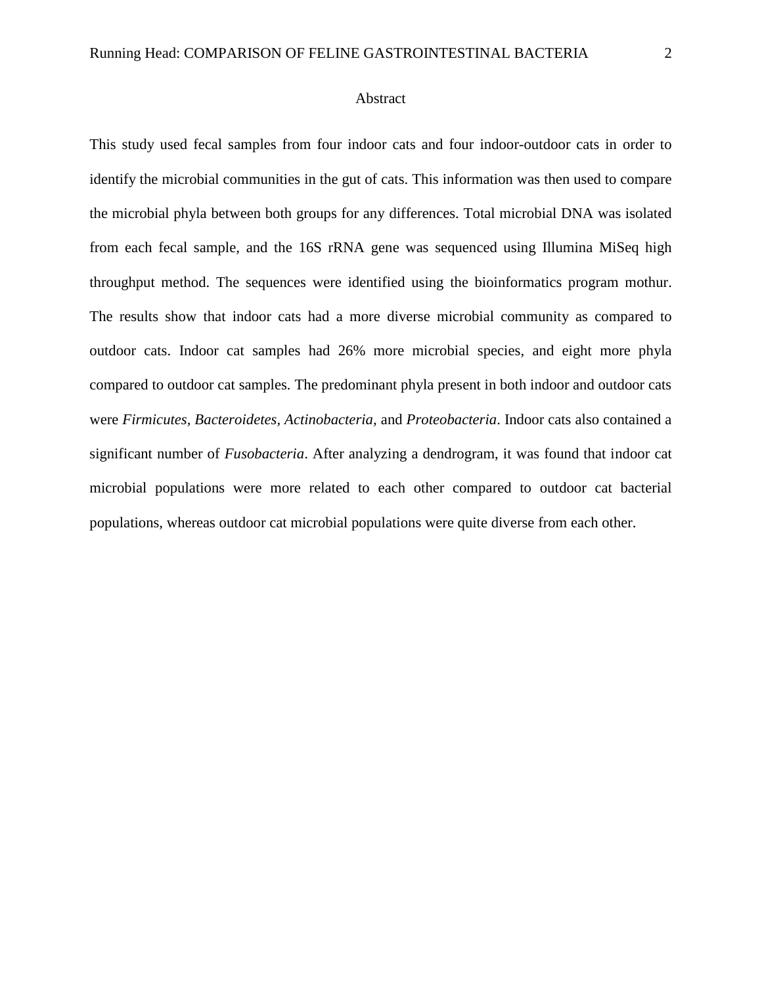#### Abstract

This study used fecal samples from four indoor cats and four indoor-outdoor cats in order to identify the microbial communities in the gut of cats. This information was then used to compare the microbial phyla between both groups for any differences. Total microbial DNA was isolated from each fecal sample, and the 16S rRNA gene was sequenced using Illumina MiSeq high throughput method. The sequences were identified using the bioinformatics program mothur. The results show that indoor cats had a more diverse microbial community as compared to outdoor cats. Indoor cat samples had 26% more microbial species, and eight more phyla compared to outdoor cat samples. The predominant phyla present in both indoor and outdoor cats were *Firmicutes, Bacteroidetes, Actinobacteria,* and *Proteobacteria*. Indoor cats also contained a significant number of *Fusobacteria*. After analyzing a dendrogram, it was found that indoor cat microbial populations were more related to each other compared to outdoor cat bacterial populations, whereas outdoor cat microbial populations were quite diverse from each other.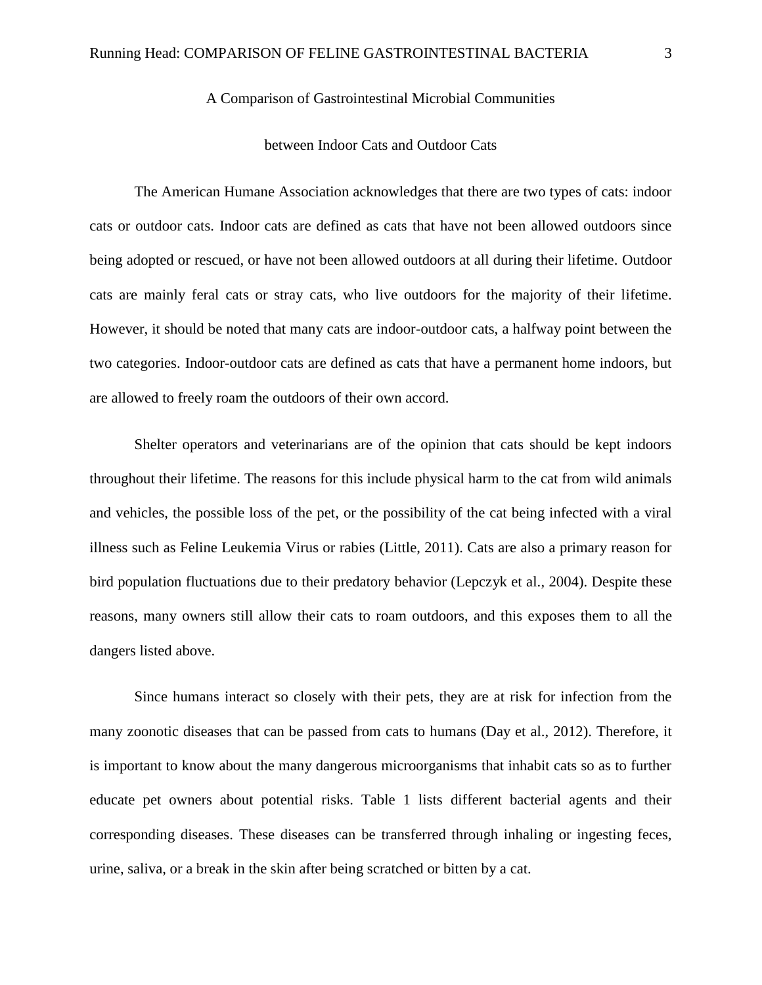#### A Comparison of Gastrointestinal Microbial Communities

#### between Indoor Cats and Outdoor Cats

The American Humane Association acknowledges that there are two types of cats: indoor cats or outdoor cats. Indoor cats are defined as cats that have not been allowed outdoors since being adopted or rescued, or have not been allowed outdoors at all during their lifetime. Outdoor cats are mainly feral cats or stray cats, who live outdoors for the majority of their lifetime. However, it should be noted that many cats are indoor-outdoor cats, a halfway point between the two categories. Indoor-outdoor cats are defined as cats that have a permanent home indoors, but are allowed to freely roam the outdoors of their own accord.

Shelter operators and veterinarians are of the opinion that cats should be kept indoors throughout their lifetime. The reasons for this include physical harm to the cat from wild animals and vehicles, the possible loss of the pet, or the possibility of the cat being infected with a viral illness such as Feline Leukemia Virus or rabies (Little, 2011). Cats are also a primary reason for bird population fluctuations due to their predatory behavior (Lepczyk et al., 2004). Despite these reasons, many owners still allow their cats to roam outdoors, and this exposes them to all the dangers listed above.

Since humans interact so closely with their pets, they are at risk for infection from the many zoonotic diseases that can be passed from cats to humans (Day et al., 2012). Therefore, it is important to know about the many dangerous microorganisms that inhabit cats so as to further educate pet owners about potential risks. Table 1 lists different bacterial agents and their corresponding diseases. These diseases can be transferred through inhaling or ingesting feces, urine, saliva, or a break in the skin after being scratched or bitten by a cat.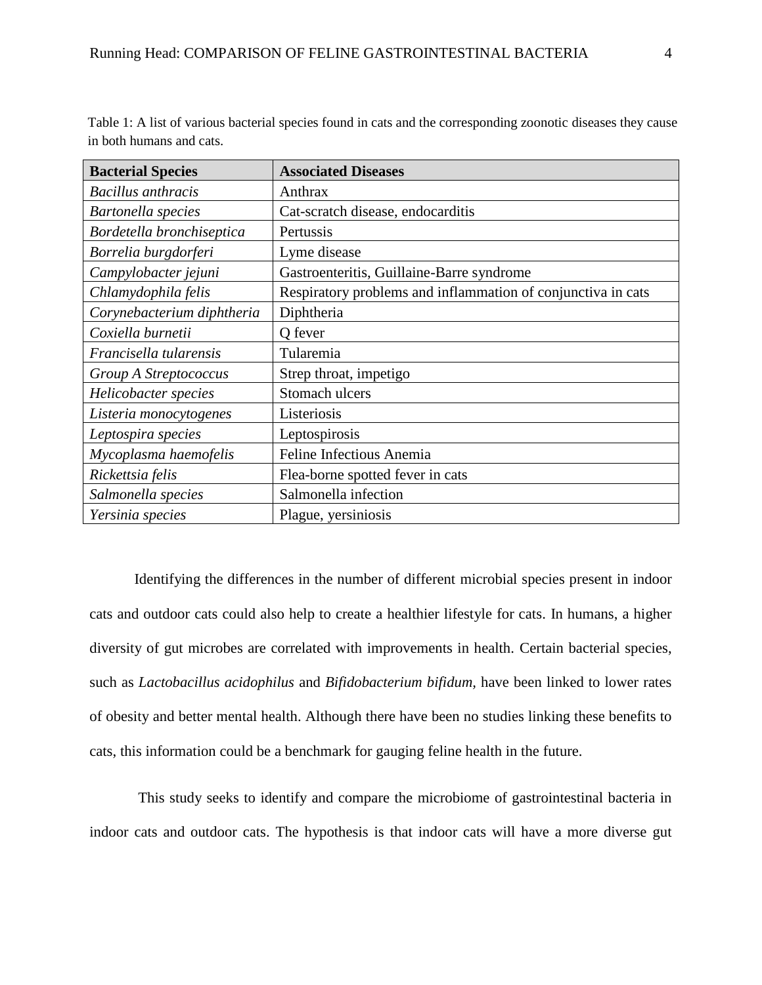Table 1: A list of various bacterial species found in cats and the corresponding zoonotic diseases they cause in both humans and cats.

| <b>Bacterial Species</b>   | <b>Associated Diseases</b>                                   |
|----------------------------|--------------------------------------------------------------|
| <b>Bacillus</b> anthracis  | Anthrax                                                      |
| Bartonella species         | Cat-scratch disease, endocarditis                            |
| Bordetella bronchiseptica  | Pertussis                                                    |
| Borrelia burgdorferi       | Lyme disease                                                 |
| Campylobacter jejuni       | Gastroenteritis, Guillaine-Barre syndrome                    |
| Chlamydophila felis        | Respiratory problems and inflammation of conjunctiva in cats |
| Corynebacterium diphtheria | Diphtheria                                                   |
| Coxiella burnetii          | Q fever                                                      |
| Francisella tularensis     | Tularemia                                                    |
| Group A Streptococcus      | Strep throat, impetigo                                       |
| Helicobacter species       | Stomach ulcers                                               |
| Listeria monocytogenes     | Listeriosis                                                  |
| Leptospira species         | Leptospirosis                                                |
| Mycoplasma haemofelis      | Feline Infectious Anemia                                     |
| Rickettsia felis           | Flea-borne spotted fever in cats                             |
| Salmonella species         | Salmonella infection                                         |
| Yersinia species           | Plague, yersiniosis                                          |

Identifying the differences in the number of different microbial species present in indoor cats and outdoor cats could also help to create a healthier lifestyle for cats. In humans, a higher diversity of gut microbes are correlated with improvements in health. Certain bacterial species, such as *Lactobacillus acidophilus* and *Bifidobacterium bifidum,* have been linked to lower rates of obesity and better mental health. Although there have been no studies linking these benefits to cats, this information could be a benchmark for gauging feline health in the future.

This study seeks to identify and compare the microbiome of gastrointestinal bacteria in indoor cats and outdoor cats. The hypothesis is that indoor cats will have a more diverse gut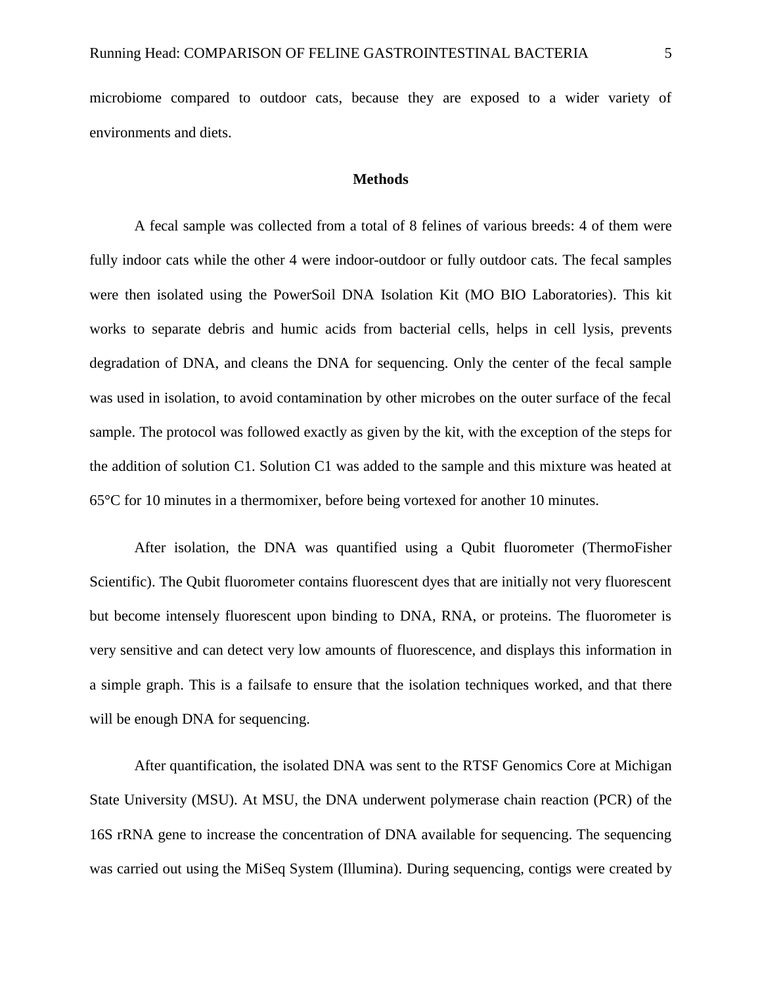microbiome compared to outdoor cats, because they are exposed to a wider variety of environments and diets.

#### **Methods**

A fecal sample was collected from a total of 8 felines of various breeds: 4 of them were fully indoor cats while the other 4 were indoor-outdoor or fully outdoor cats. The fecal samples were then isolated using the PowerSoil DNA Isolation Kit (MO BIO Laboratories). This kit works to separate debris and humic acids from bacterial cells, helps in cell lysis, prevents degradation of DNA, and cleans the DNA for sequencing. Only the center of the fecal sample was used in isolation, to avoid contamination by other microbes on the outer surface of the fecal sample. The protocol was followed exactly as given by the kit, with the exception of the steps for the addition of solution C1. Solution C1 was added to the sample and this mixture was heated at 65°C for 10 minutes in a thermomixer, before being vortexed for another 10 minutes.

After isolation, the DNA was quantified using a Qubit fluorometer (ThermoFisher Scientific). The Qubit fluorometer contains fluorescent dyes that are initially not very fluorescent but become intensely fluorescent upon binding to DNA, RNA, or proteins. The fluorometer is very sensitive and can detect very low amounts of fluorescence, and displays this information in a simple graph. This is a failsafe to ensure that the isolation techniques worked, and that there will be enough DNA for sequencing.

After quantification, the isolated DNA was sent to the RTSF Genomics Core at Michigan State University (MSU). At MSU, the DNA underwent polymerase chain reaction (PCR) of the 16S rRNA gene to increase the concentration of DNA available for sequencing. The sequencing was carried out using the MiSeq System (Illumina). During sequencing, contigs were created by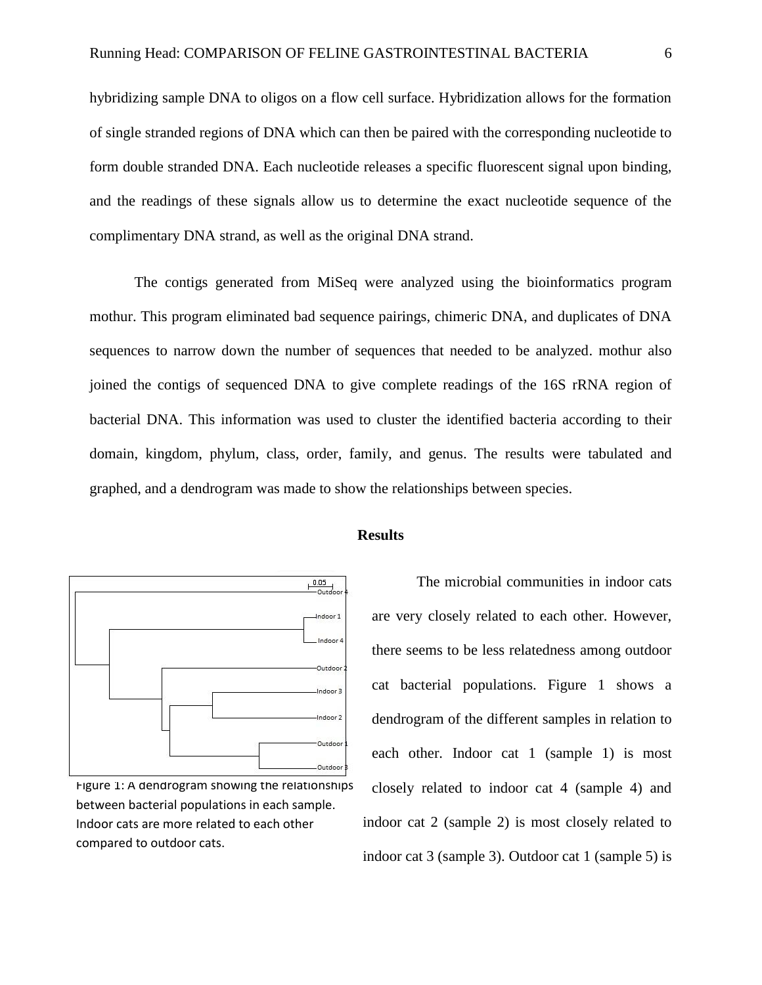hybridizing sample DNA to oligos on a flow cell surface. Hybridization allows for the formation of single stranded regions of DNA which can then be paired with the corresponding nucleotide to form double stranded DNA. Each nucleotide releases a specific fluorescent signal upon binding, and the readings of these signals allow us to determine the exact nucleotide sequence of the complimentary DNA strand, as well as the original DNA strand.

The contigs generated from MiSeq were analyzed using the bioinformatics program mothur. This program eliminated bad sequence pairings, chimeric DNA, and duplicates of DNA sequences to narrow down the number of sequences that needed to be analyzed. mothur also joined the contigs of sequenced DNA to give complete readings of the 16S rRNA region of bacterial DNA. This information was used to cluster the identified bacteria according to their domain, kingdom, phylum, class, order, family, and genus. The results were tabulated and graphed, and a dendrogram was made to show the relationships between species.



Figure 1: A dendrogram showing the relationships between bacterial populations in each sample. Indoor cats are more related to each other compared to outdoor cats.

#### **Results**

The microbial communities in indoor cats are very closely related to each other. However, there seems to be less relatedness among outdoor cat bacterial populations. Figure 1 shows a dendrogram of the different samples in relation to each other. Indoor cat 1 (sample 1) is most closely related to indoor cat 4 (sample 4) and indoor cat 2 (sample 2) is most closely related to indoor cat 3 (sample 3). Outdoor cat 1 (sample 5) is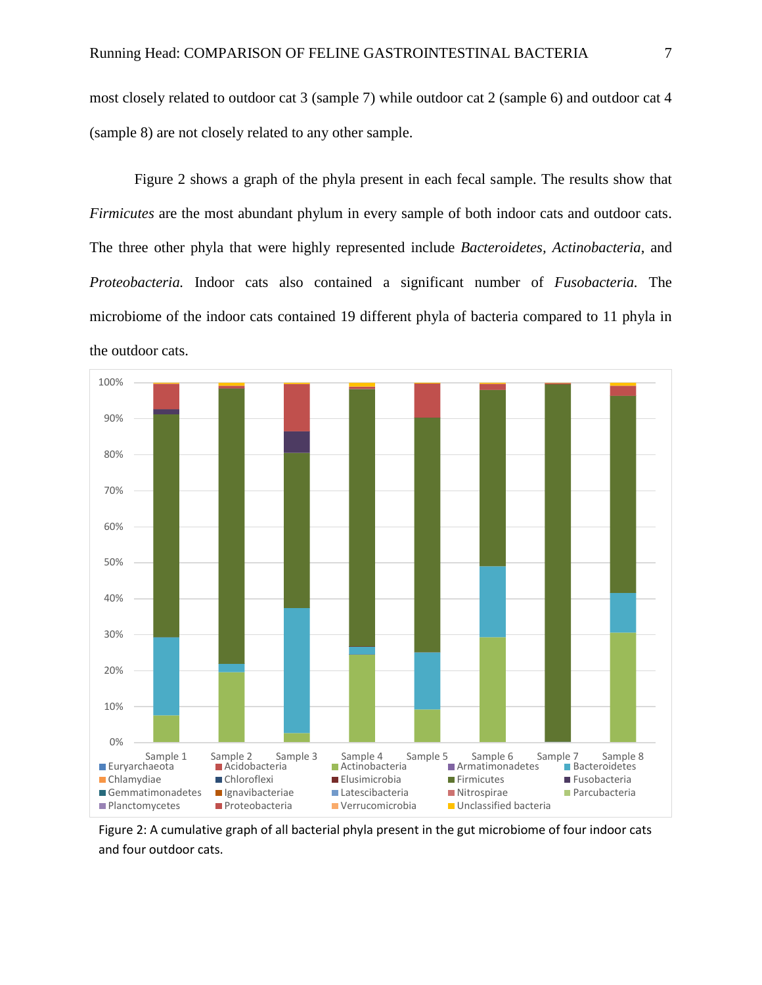most closely related to outdoor cat 3 (sample 7) while outdoor cat 2 (sample 6) and outdoor cat 4 (sample 8) are not closely related to any other sample.

Figure 2 shows a graph of the phyla present in each fecal sample. The results show that *Firmicutes* are the most abundant phylum in every sample of both indoor cats and outdoor cats. The three other phyla that were highly represented include *Bacteroidetes, Actinobacteria*, and *Proteobacteria.* Indoor cats also contained a significant number of *Fusobacteria.* The microbiome of the indoor cats contained 19 different phyla of bacteria compared to 11 phyla in the outdoor cats.



Figure 2: A cumulative graph of all bacterial phyla present in the gut microbiome of four indoor cats and four outdoor cats.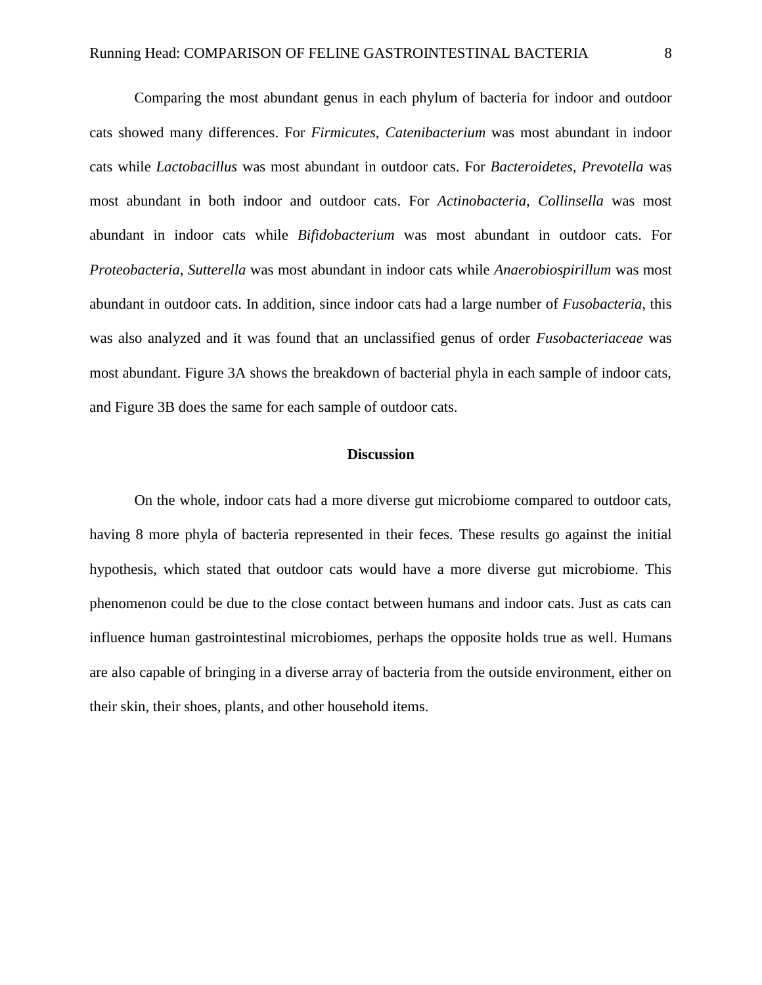Comparing the most abundant genus in each phylum of bacteria for indoor and outdoor cats showed many differences. For *Firmicutes*, *Catenibacterium* was most abundant in indoor cats while *Lactobacillus* was most abundant in outdoor cats. For *Bacteroidetes, Prevotella* was most abundant in both indoor and outdoor cats. For *Actinobacteria, Collinsella* was most abundant in indoor cats while *Bifidobacterium* was most abundant in outdoor cats. For *Proteobacteria, Sutterella* was most abundant in indoor cats while *Anaerobiospirillum* was most abundant in outdoor cats. In addition, since indoor cats had a large number of *Fusobacteria*, this was also analyzed and it was found that an unclassified genus of order *Fusobacteriaceae* was most abundant. Figure 3A shows the breakdown of bacterial phyla in each sample of indoor cats, and Figure 3B does the same for each sample of outdoor cats.

#### **Discussion**

On the whole, indoor cats had a more diverse gut microbiome compared to outdoor cats, having 8 more phyla of bacteria represented in their feces. These results go against the initial hypothesis, which stated that outdoor cats would have a more diverse gut microbiome. This phenomenon could be due to the close contact between humans and indoor cats. Just as cats can influence human gastrointestinal microbiomes, perhaps the opposite holds true as well. Humans are also capable of bringing in a diverse array of bacteria from the outside environment, either on their skin, their shoes, plants, and other household items.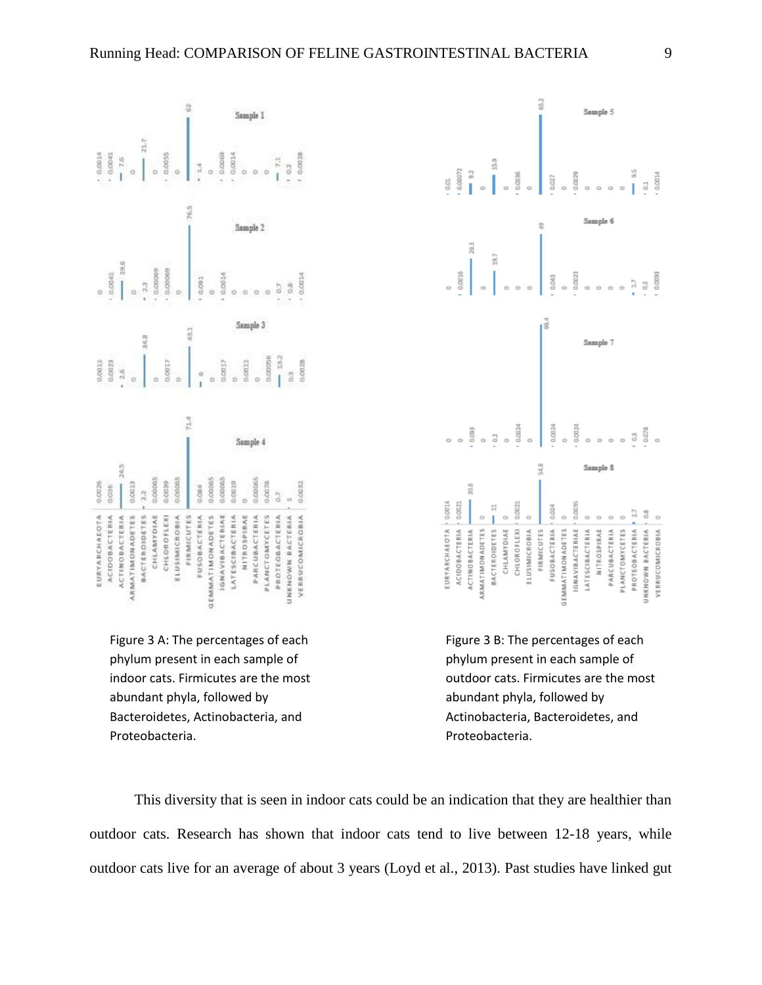





Figure 3 B: The percentages of each phylum present in each sample of outdoor cats. Firmicutes are the most abundant phyla, followed by Actinobacteria, Bacteroidetes, and Proteobacteria.

This diversity that is seen in indoor cats could be an indication that they are healthier than outdoor cats. Research has shown that indoor cats tend to live between 12-18 years, while outdoor cats live for an average of about 3 years (Loyd et al., 2013). Past studies have linked gut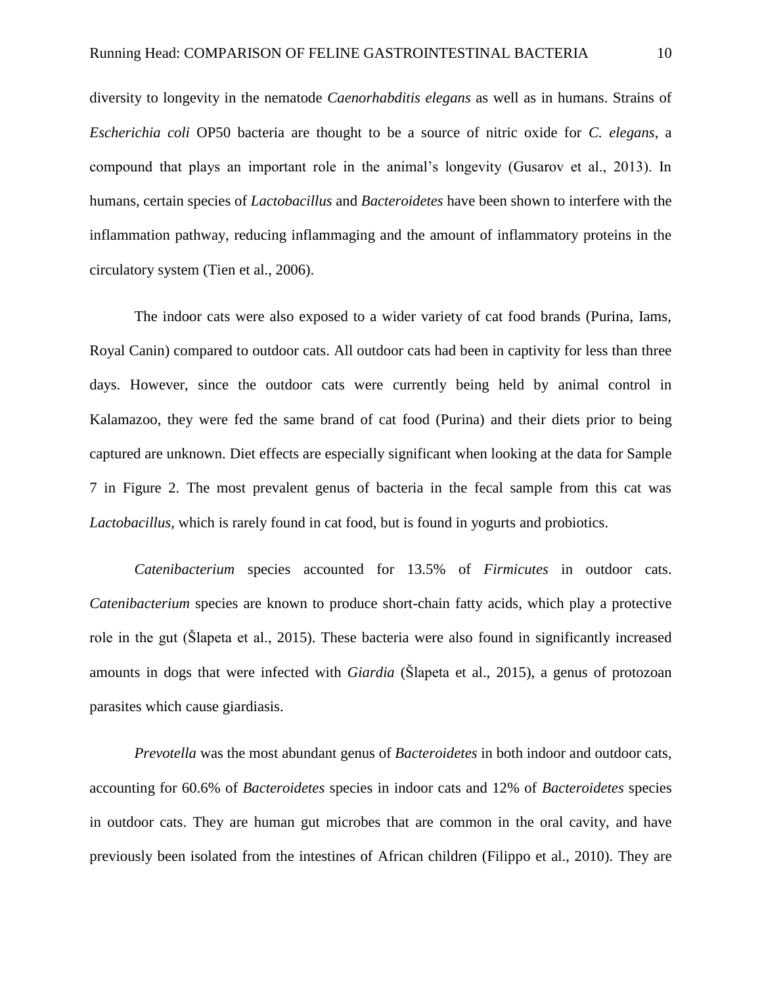diversity to longevity in the nematode *Caenorhabditis elegans* as well as in humans. Strains of *Escherichia coli* OP50 bacteria are thought to be a source of nitric oxide for *C. elegans*, a compound that plays an important role in the animal's longevity (Gusarov et al., 2013). In humans, certain species of *Lactobacillus* and *Bacteroidetes* have been shown to interfere with the inflammation pathway, reducing inflammaging and the amount of inflammatory proteins in the circulatory system (Tien et al., 2006).

The indoor cats were also exposed to a wider variety of cat food brands (Purina, Iams, Royal Canin) compared to outdoor cats. All outdoor cats had been in captivity for less than three days. However, since the outdoor cats were currently being held by animal control in Kalamazoo, they were fed the same brand of cat food (Purina) and their diets prior to being captured are unknown. Diet effects are especially significant when looking at the data for Sample 7 in Figure 2. The most prevalent genus of bacteria in the fecal sample from this cat was *Lactobacillus*, which is rarely found in cat food, but is found in yogurts and probiotics.

*Catenibacterium* species accounted for 13.5% of *Firmicutes* in outdoor cats. *Catenibacterium* species are known to produce short-chain fatty acids, which play a protective role in the gut (Šlapeta et al., 2015). These bacteria were also found in significantly increased amounts in dogs that were infected with *Giardia* (Šlapeta et al., 2015), a genus of protozoan parasites which cause giardiasis.

*Prevotella* was the most abundant genus of *Bacteroidetes* in both indoor and outdoor cats, accounting for 60.6% of *Bacteroidetes* species in indoor cats and 12% of *Bacteroidetes* species in outdoor cats. They are human gut microbes that are common in the oral cavity, and have previously been isolated from the intestines of African children (Filippo et al., 2010). They are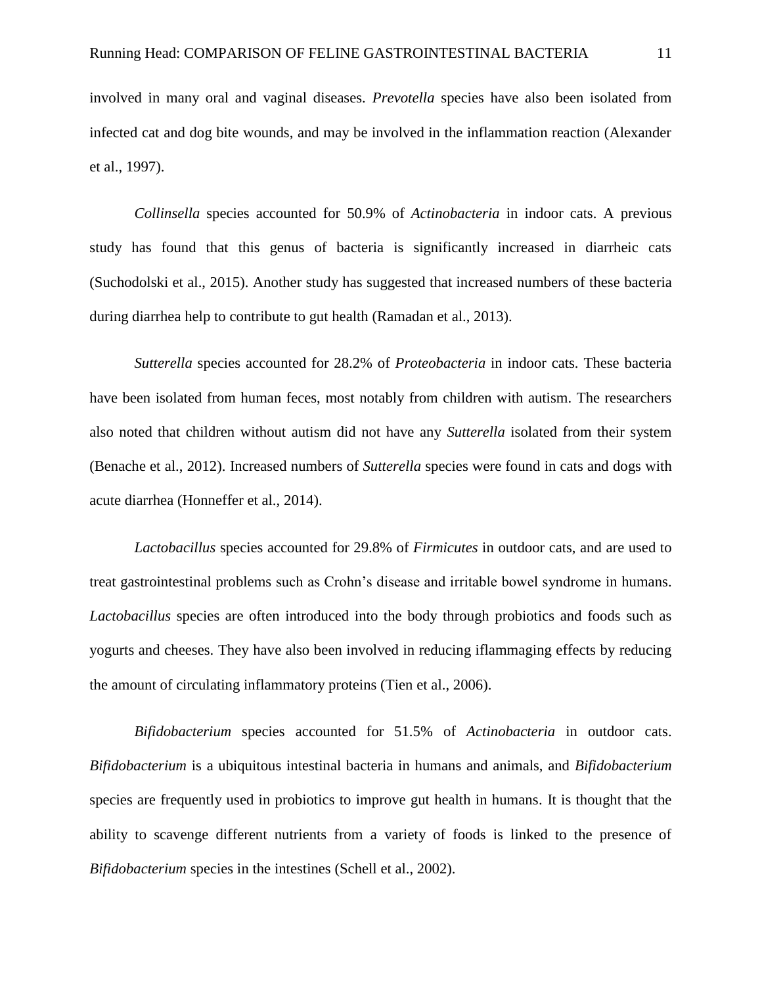involved in many oral and vaginal diseases. *Prevotella* species have also been isolated from infected cat and dog bite wounds, and may be involved in the inflammation reaction (Alexander et al., 1997).

*Collinsella* species accounted for 50.9% of *Actinobacteria* in indoor cats. A previous study has found that this genus of bacteria is significantly increased in diarrheic cats (Suchodolski et al., 2015). Another study has suggested that increased numbers of these bacteria during diarrhea help to contribute to gut health (Ramadan et al., 2013).

*Sutterella* species accounted for 28.2% of *Proteobacteria* in indoor cats. These bacteria have been isolated from human feces, most notably from children with autism. The researchers also noted that children without autism did not have any *Sutterella* isolated from their system (Benache et al., 2012). Increased numbers of *Sutterella* species were found in cats and dogs with acute diarrhea (Honneffer et al., 2014).

*Lactobacillus* species accounted for 29.8% of *Firmicutes* in outdoor cats, and are used to treat gastrointestinal problems such as Crohn's disease and irritable bowel syndrome in humans. *Lactobacillus* species are often introduced into the body through probiotics and foods such as yogurts and cheeses. They have also been involved in reducing iflammaging effects by reducing the amount of circulating inflammatory proteins (Tien et al., 2006).

*Bifidobacterium* species accounted for 51.5% of *Actinobacteria* in outdoor cats. *Bifidobacterium* is a ubiquitous intestinal bacteria in humans and animals, and *Bifidobacterium* species are frequently used in probiotics to improve gut health in humans. It is thought that the ability to scavenge different nutrients from a variety of foods is linked to the presence of *Bifidobacterium* species in the intestines (Schell et al., 2002).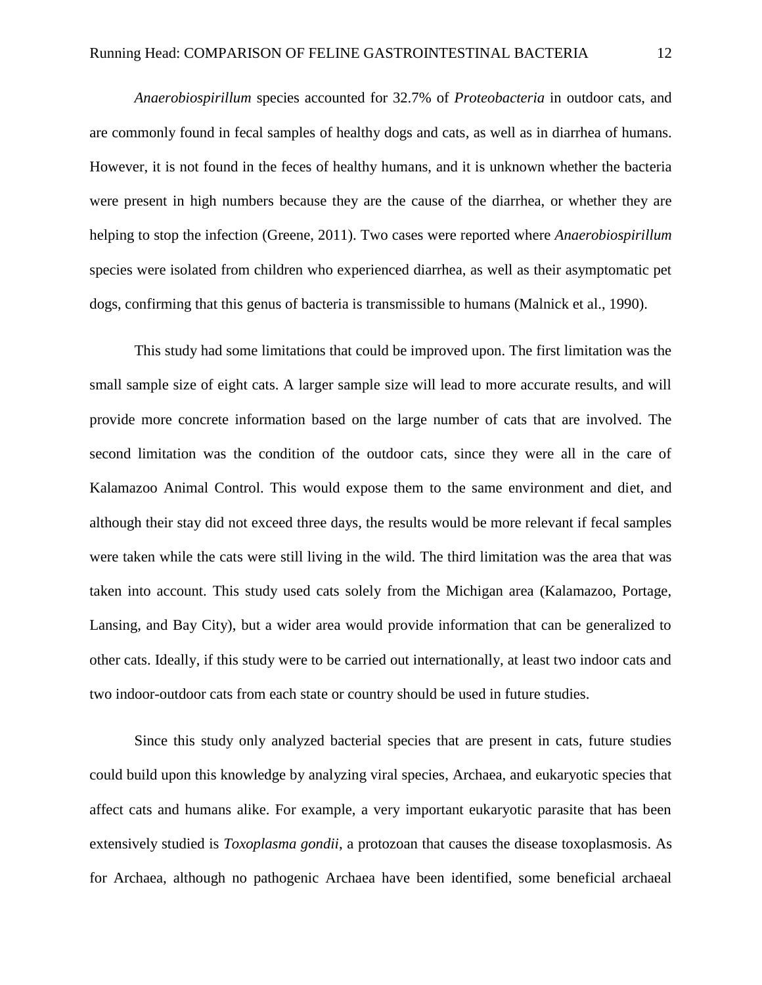*Anaerobiospirillum* species accounted for 32.7% of *Proteobacteria* in outdoor cats, and are commonly found in fecal samples of healthy dogs and cats, as well as in diarrhea of humans. However, it is not found in the feces of healthy humans, and it is unknown whether the bacteria were present in high numbers because they are the cause of the diarrhea, or whether they are helping to stop the infection (Greene, 2011). Two cases were reported where *Anaerobiospirillum* species were isolated from children who experienced diarrhea, as well as their asymptomatic pet dogs, confirming that this genus of bacteria is transmissible to humans (Malnick et al., 1990).

This study had some limitations that could be improved upon. The first limitation was the small sample size of eight cats. A larger sample size will lead to more accurate results, and will provide more concrete information based on the large number of cats that are involved. The second limitation was the condition of the outdoor cats, since they were all in the care of Kalamazoo Animal Control. This would expose them to the same environment and diet, and although their stay did not exceed three days, the results would be more relevant if fecal samples were taken while the cats were still living in the wild. The third limitation was the area that was taken into account. This study used cats solely from the Michigan area (Kalamazoo, Portage, Lansing, and Bay City), but a wider area would provide information that can be generalized to other cats. Ideally, if this study were to be carried out internationally, at least two indoor cats and two indoor-outdoor cats from each state or country should be used in future studies.

Since this study only analyzed bacterial species that are present in cats, future studies could build upon this knowledge by analyzing viral species, Archaea, and eukaryotic species that affect cats and humans alike. For example, a very important eukaryotic parasite that has been extensively studied is *Toxoplasma gondii*, a protozoan that causes the disease toxoplasmosis. As for Archaea, although no pathogenic Archaea have been identified, some beneficial archaeal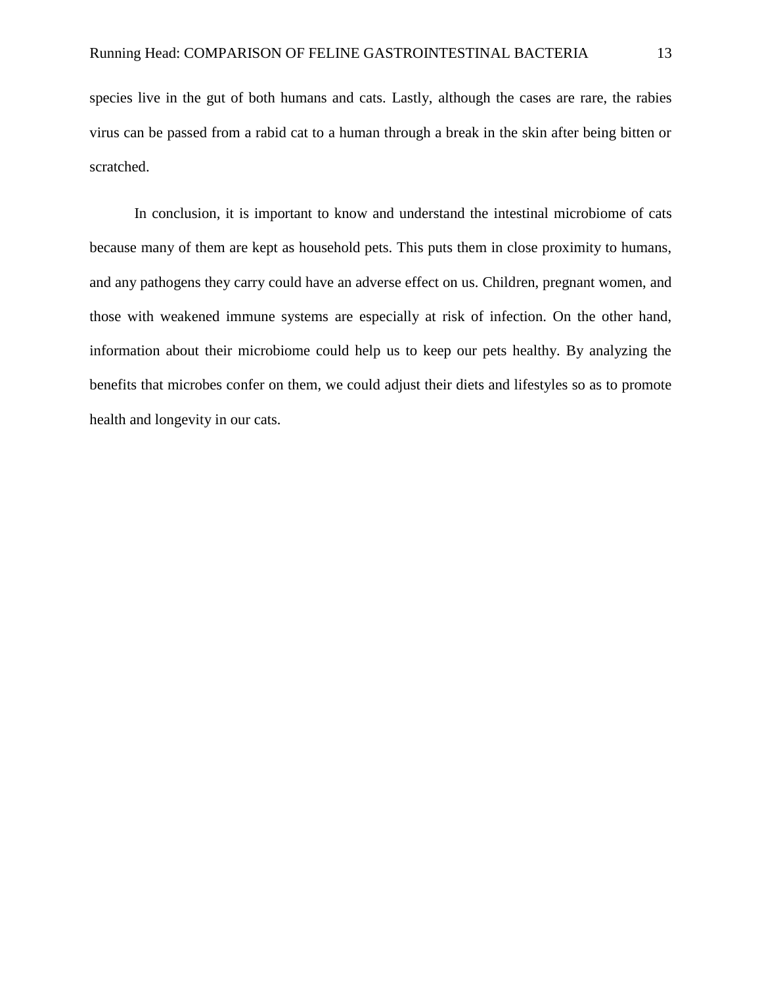species live in the gut of both humans and cats. Lastly, although the cases are rare, the rabies virus can be passed from a rabid cat to a human through a break in the skin after being bitten or scratched.

In conclusion, it is important to know and understand the intestinal microbiome of cats because many of them are kept as household pets. This puts them in close proximity to humans, and any pathogens they carry could have an adverse effect on us. Children, pregnant women, and those with weakened immune systems are especially at risk of infection. On the other hand, information about their microbiome could help us to keep our pets healthy. By analyzing the benefits that microbes confer on them, we could adjust their diets and lifestyles so as to promote health and longevity in our cats.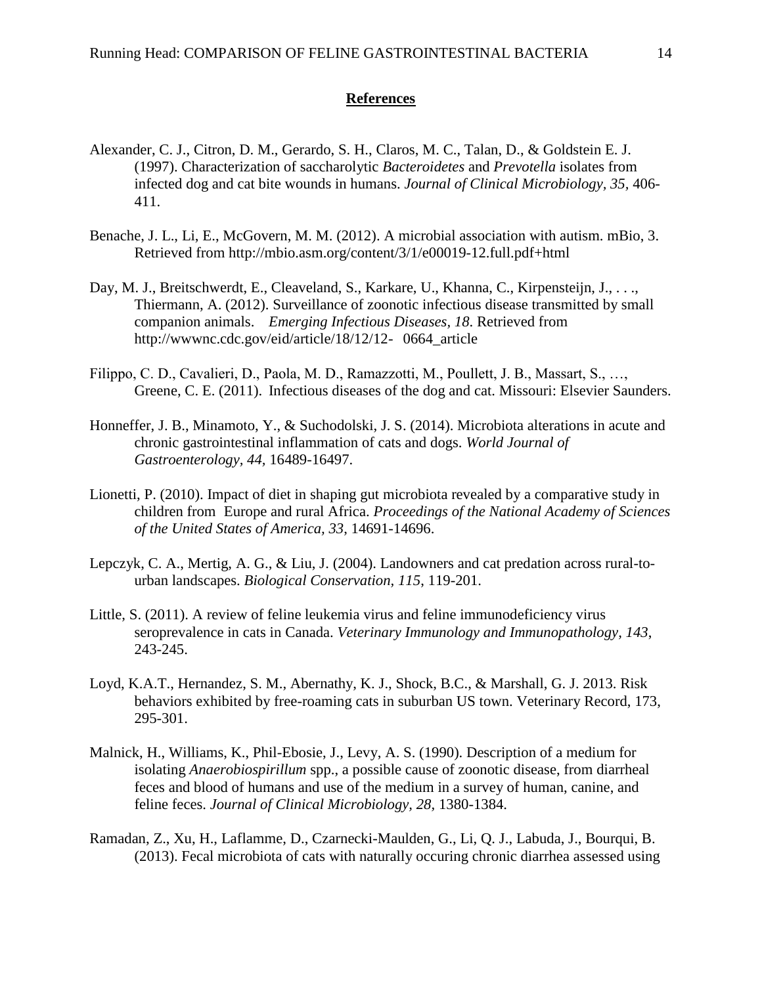#### **References**

- Alexander, C. J., Citron, D. M., Gerardo, S. H., Claros, M. C., Talan, D., & Goldstein E. J. (1997). Characterization of saccharolytic *Bacteroidetes* and *Prevotella* isolates from infected dog and cat bite wounds in humans. *Journal of Clinical Microbiology, 35,* 406- 411.
- Benache, J. L., Li, E., McGovern, M. M. (2012). A microbial association with autism. mBio, 3. Retrieved from http://mbio.asm.org/content/3/1/e00019-12.full.pdf+html
- Day, M. J., Breitschwerdt, E., Cleaveland, S., Karkare, U., Khanna, C., Kirpensteijn, J., . . ., Thiermann, A. (2012). Surveillance of zoonotic infectious disease transmitted by small companion animals. *Emerging Infectious Diseases, 18*. Retrieved from http://wwwnc.cdc.gov/eid/article/18/12/12- 0664\_article
- Filippo, C. D., Cavalieri, D., Paola, M. D., Ramazzotti, M., Poullett, J. B., Massart, S., …, Greene, C. E. (2011). Infectious diseases of the dog and cat. Missouri: Elsevier Saunders.
- Honneffer, J. B., Minamoto, Y., & Suchodolski, J. S. (2014). Microbiota alterations in acute and chronic gastrointestinal inflammation of cats and dogs. *World Journal of Gastroenterology, 44,* 16489-16497.
- Lionetti, P. (2010). Impact of diet in shaping gut microbiota revealed by a comparative study in children from Europe and rural Africa. *Proceedings of the National Academy of Sciences of the United States of America, 33*, 14691-14696.
- Lepczyk, C. A., Mertig, A. G., & Liu, J. (2004). Landowners and cat predation across rural-tourban landscapes. *Biological Conservation, 115*, 119-201.
- Little, S. (2011). A review of feline leukemia virus and feline immunodeficiency virus seroprevalence in cats in Canada. *Veterinary Immunology and Immunopathology, 143*, 243-245.
- Loyd, K.A.T., Hernandez, S. M., Abernathy, K. J., Shock, B.C., & Marshall, G. J. 2013. Risk behaviors exhibited by free-roaming cats in suburban US town. Veterinary Record, 173, 295-301.
- Malnick, H., Williams, K., Phil-Ebosie, J., Levy, A. S. (1990). Description of a medium for isolating *Anaerobiospirillum* spp., a possible cause of zoonotic disease, from diarrheal feces and blood of humans and use of the medium in a survey of human, canine, and feline feces. *Journal of Clinical Microbiology, 28,* 1380-1384.
- Ramadan, Z., Xu, H., Laflamme, D., Czarnecki-Maulden, G., Li, Q. J., Labuda, J., Bourqui, B. (2013). Fecal microbiota of cats with naturally occuring chronic diarrhea assessed using